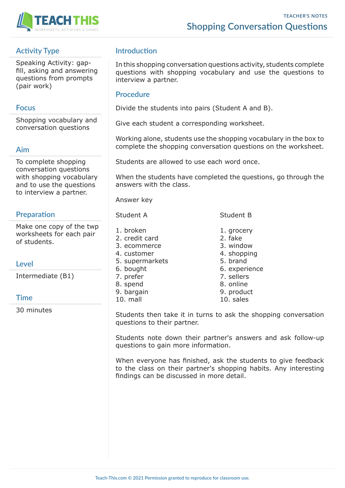

# **Activity Type**

Speaking Activity: gapfill, asking and answering questions from prompts (pair work)

## **Focus**

Shopping vocabulary and conversation questions

## **Aim**

To complete shopping conversation questions with shopping vocabulary and to use the questions to interview a partner.

# **Preparation**

Make one copy of the twp worksheets for each pair of students.

## **Level**

Intermediate (B1)

#### **Time**

30 minutes

# **Introduction**

In this shopping conversation questions activity, students complete questions with shopping vocabulary and use the questions to interview a partner.

#### **Procedure**

Divide the students into pairs (Student A and B).

Give each student a corresponding worksheet.

Working alone, students use the shopping vocabulary in the box to complete the shopping conversation questions on the worksheet.

Students are allowed to use each word once.

When the students have completed the questions, go through the answers with the class.

Answer key

#### Student A Student B

- 1. broken 1. grocery
- 2. credit card 2. fake
- 3. ecommerce 3. window
- 4. customer 4. shopping
- 5. supermarkets 5. brand
- 6. bought 6. experience
- 
- 8. spend 8. online
- 9. bargain 9. product
- 10. mall 10. sales
- 7. prefer 7. sellers
	-
	-
	-

Students then take it in turns to ask the shopping conversation questions to their partner.

Students note down their partner's answers and ask follow-up questions to gain more information.

When everyone has finished, ask the students to give feedback to the class on their partner's shopping habits. Any interesting findings can be discussed in more detail.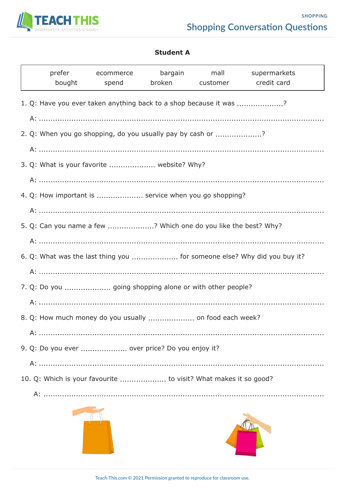

#### **Student A**

|                                                                 | prefer<br>bought                                                         | ecommerce<br>spend | bargain | mall<br>broken customer credit card | supermarkets |  |  |  |  |  |
|-----------------------------------------------------------------|--------------------------------------------------------------------------|--------------------|---------|-------------------------------------|--------------|--|--|--|--|--|
|                                                                 | 1. Q: Have you ever taken anything back to a shop because it was ?       |                    |         |                                     |              |  |  |  |  |  |
|                                                                 |                                                                          |                    |         |                                     |              |  |  |  |  |  |
|                                                                 | 2. Q: When you go shopping, do you usually pay by cash or ?              |                    |         |                                     |              |  |  |  |  |  |
|                                                                 | 3. Q: What is your favorite  website? Why?                               |                    |         |                                     |              |  |  |  |  |  |
|                                                                 |                                                                          |                    |         |                                     |              |  |  |  |  |  |
|                                                                 | 4. Q: How important is  service when you go shopping?                    |                    |         |                                     |              |  |  |  |  |  |
|                                                                 |                                                                          |                    |         |                                     |              |  |  |  |  |  |
| 5. Q: Can you name a few ? Which one do you like the best? Why? |                                                                          |                    |         |                                     |              |  |  |  |  |  |
|                                                                 |                                                                          |                    |         |                                     |              |  |  |  |  |  |
|                                                                 | 6. Q: What was the last thing you  for someone else? Why did you buy it? |                    |         |                                     |              |  |  |  |  |  |
|                                                                 |                                                                          |                    |         |                                     |              |  |  |  |  |  |
|                                                                 |                                                                          |                    |         |                                     |              |  |  |  |  |  |
|                                                                 |                                                                          |                    |         |                                     |              |  |  |  |  |  |
|                                                                 |                                                                          |                    |         |                                     |              |  |  |  |  |  |
| 9. Q: Do you ever  over price? Do you enjoy it?                 |                                                                          |                    |         |                                     |              |  |  |  |  |  |
|                                                                 |                                                                          |                    |         |                                     |              |  |  |  |  |  |
|                                                                 | 10. Q: Which is your favourite  to visit? What makes it so good?         |                    |         |                                     |              |  |  |  |  |  |



A: ...........